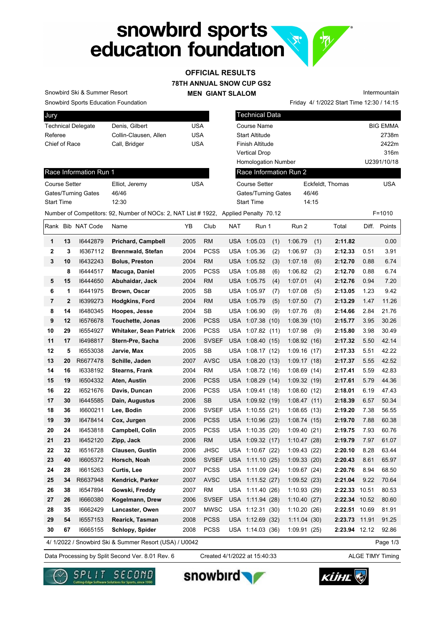## snowbird sports<br>education foundation **See**

## **78TH ANNUAL SNOW CUP GS2 MEN GIANT SLALOM OFFICIAL RESULTS**

Snowbird Ski & Summer Resort

Snowbird Sports Education Foundation

| <b>Jury</b>               |                       |     |
|---------------------------|-----------------------|-----|
| <b>Technical Delegate</b> | Denis, Gilbert        | USA |
| Referee                   | Collin-Clausen, Allen | USA |
| Chief of Race             | Call, Bridger         | USA |
|                           |                       |     |

| <b>Technical Data</b>      |                  |                 |
|----------------------------|------------------|-----------------|
| Course Name                |                  | <b>BIG EMMA</b> |
| <b>Start Altitude</b>      |                  | 2738m           |
| Finish Altitude            |                  | 2422m           |
| Vertical Drop              |                  | 316m            |
| <b>Homologation Number</b> |                  | U2391/10/18     |
| Race Information Run 2     |                  |                 |
| <b>Course Setter</b>       | Eckfeldt, Thomas | <b>USA</b>      |
| Gates/Turning Gates        | 46/46            |                 |
|                            |                  |                 |

Start Time 14:15

Friday 4/ 1/2022 Start Time 12:30 / 14:15

Intermountain

Race Information Run 1

| Course Setter              | Elliot, Jeremy | USA |
|----------------------------|----------------|-----|
| <b>Gates/Turning Gates</b> | 46/46          |     |
| <b>Start Time</b>          | 12.30          |     |

|              |              |                   | Number of Competitors: 92, Number of NOCs: 2, NAT List # 1922, Applied Penalty 70.12 |      |              |            |                  |     |             |     |               |       | $F = 1010$   |
|--------------|--------------|-------------------|--------------------------------------------------------------------------------------|------|--------------|------------|------------------|-----|-------------|-----|---------------|-------|--------------|
|              |              | Rank Bib NAT Code | Name                                                                                 | ΥB   | Club         | <b>NAT</b> | Run 1            |     | Run 2       |     | Total         |       | Diff. Points |
| 1            | 13           | 16442879          | <b>Prichard, Campbell</b>                                                            | 2005 | <b>RM</b>    |            | USA 1:05.03      | (1) | 1:06.79     | (1) | 2:11.82       |       | 0.00         |
| $\mathbf{2}$ | 3            | 16367112          | <b>Brennwald, Stefan</b>                                                             | 2004 | <b>PCSS</b>  |            | USA 1:05.36      | (2) | 1:06.97     | (3) | 2:12.33       | 0.51  | 3.91         |
| 3            | 10           | 16432243          | <b>Bolus, Preston</b>                                                                | 2004 | <b>RM</b>    |            | USA 1:05.52      | (3) | 1:07.18     | (6) | 2:12.70       | 0.88  | 6.74         |
|              | 8            | 16444517          | Macuga, Daniel                                                                       | 2005 | <b>PCSS</b>  |            | USA 1:05.88      | (6) | 1:06.82     | (2) | 2:12.70       | 0.88  | 6.74         |
| 5            | 15           | 16444650          | Abuhaidar, Jack                                                                      | 2004 | <b>RM</b>    |            | USA 1:05.75      | (4) | 1:07.01     | (4) | 2:12.76       | 0.94  | 7.20         |
| 6            | 1            | 16441975          | Brown, Oscar                                                                         | 2005 | <b>SB</b>    |            | USA 1:05.97      | (7) | 1:07.08     | (5) | 2:13.05       | 1.23  | 9.42         |
| 7            | $\mathbf{2}$ | 16399273          | Hodgkins, Ford                                                                       | 2004 | <b>RM</b>    |            | USA 1:05.79      | (5) | 1:07.50     | (7) | 2:13.29       | 1.47  | 11.26        |
| 8            | 14           | 16480345          | Hoopes, Jesse                                                                        | 2004 | SB           |            | USA 1:06.90      | (9) | 1:07.76     | (8) | 2:14.66       | 2.84  | 21.76        |
| 9            | 12           | 16576678          | Touchette, Jonas                                                                     | 2006 | <b>PCSS</b>  | USA        | 1:07.38(10)      |     | 1:08.39(10) |     | 2:15.77       | 3.95  | 30.26        |
| 10           | 29           | 16554927          | <b>Whitaker, Sean Patrick</b>                                                        | 2006 | <b>PCSS</b>  | USA        | 1:07.82(11)      |     | 1:07.98     | (9) | 2:15.80       | 3.98  | 30.49        |
| 11           | 17           | 16498817          | Stern-Pre, Sacha                                                                     | 2006 | <b>SVSEF</b> |            | USA 1:08.40 (15) |     | 1:08.92(16) |     | 2:17.32       | 5.50  | 42.14        |
| 12           | 5            | 16553038          | Jarvie, Max                                                                          | 2005 | <b>SB</b>    |            | USA 1:08.17 (12) |     | 1:09.16(17) |     | 2:17.33       | 5.51  | 42.22        |
| 13           | 20           | R6677478          | Schille, Jaden                                                                       | 2007 | <b>AVSC</b>  |            | USA 1:08.20 (13) |     | 1:09.17(18) |     | 2:17.37       | 5.55  | 42.52        |
| 14           | 16           | 16338192          | <b>Stearns, Frank</b>                                                                | 2004 | <b>RM</b>    | USA        | 1:08.72(16)      |     | 1:08.69(14) |     | 2:17.41       | 5.59  | 42.83        |
| 15           | 19           | 16504332          | Aten, Austin                                                                         | 2006 | <b>PCSS</b>  |            | USA 1:08.29 (14) |     | 1:09.32(19) |     | 2:17.61       | 5.79  | 44.36        |
| 16           | 22           | 16521676          | Davis, Duncan                                                                        | 2006 | <b>PCSS</b>  |            | USA 1:09.41 (18) |     | 1:08.60(12) |     | 2:18.01       | 6.19  | 47.43        |
| 17           | 30           | 16445585          | Dain, Augustus                                                                       | 2006 | <b>SB</b>    |            | USA 1:09.92 (19) |     | 1:08.47(11) |     | 2:18.39       | 6.57  | 50.34        |
| 18           | 36           | 16600211          | Lee, Bodin                                                                           | 2006 | <b>SVSEF</b> | <b>USA</b> | 1:10.55(21)      |     | 1:08.65(13) |     | 2:19.20       | 7.38  | 56.55        |
| 19           | 39           | 16478414          | Cox, Jurgen                                                                          | 2006 | <b>PCSS</b>  |            | USA 1:10.96 (23) |     | 1:08.74(15) |     | 2:19.70       | 7.88  | 60.38        |
| 20           | 24           | 16453818          | <b>Campbell, Colin</b>                                                               | 2005 | <b>PCSS</b>  |            | USA 1:10.35 (20) |     | 1:09.40(21) |     | 2:19.75       | 7.93  | 60.76        |
| 21           | 23           | 16452120          | Zipp, Jack                                                                           | 2006 | <b>RM</b>    |            | USA 1:09.32 (17) |     | 1:10.47(28) |     | 2:19.79       | 7.97  | 61.07        |
| 22           | 32           | 16516728          | <b>Clausen, Gustin</b>                                                               | 2006 | <b>JHSC</b>  | USA        | 1:10.67(22)      |     | 1:09.43(22) |     | 2:20.10       | 8.28  | 63.44        |
| 23           | 40           | 16605372          | Horsch, Noah                                                                         | 2006 | <b>SVSEF</b> | <b>USA</b> | 1:11.10(25)      |     | 1:09.33(20) |     | 2:20.43       | 8.61  | 65.97        |
| 24           | 28           | 16615263          | Curtis, Lee                                                                          | 2007 | <b>PCSS</b>  | USA        | 1:11.09(24)      |     | 1:09.67(24) |     | 2:20.76       | 8.94  | 68.50        |
| 25           | 34           | R6637948          | Kendrick, Parker                                                                     | 2007 | <b>AVSC</b>  | USA        | 1:11.52(27)      |     | 1:09.52(23) |     | 2:21.04       | 9.22  | 70.64        |
| 26           | 38           | 16547894          | Gowski, Freddy                                                                       | 2007 | RM           | USA        | 1:11.40(26)      |     | 1:10.93(29) |     | 2:22.33       | 10.51 | 80.53        |
| 27           | 26           | 16660380          | Kogelmann, Drew                                                                      | 2006 | <b>SVSEF</b> | <b>USA</b> | 1:11.94(28)      |     | 1:10.40(27) |     | 2:22.34       | 10.52 | 80.60        |
| 28           | 35           | 16662429          | Lancaster, Owen                                                                      | 2007 | <b>MWSC</b>  |            | USA 1:12.31 (30) |     | 1:10.20(26) |     | 2:22.51       | 10.69 | 81.91        |
| 29           | 54           | 16557153          | Rearick, Tasman                                                                      | 2008 | <b>PCSS</b>  |            | USA 1:12.69 (32) |     | 1:11.04(30) |     | 2:23.73       | 11.91 | 91.25        |
| 30           | 67           | 16665155          | Schlopy, Spider                                                                      | 2008 | <b>PCSS</b>  |            | USA 1:14.03 (36) |     | 1:09.91(25) |     | 2:23.94 12.12 |       | 92.86        |
|              |              |                   | 4/ 1/2022 / Snowbird Ski & Summer Resort (USA) / U0042                               |      |              |            |                  |     |             |     |               |       | Page 1/3     |

4/ 1/2022 / Snowbird Ski & Summer Resort (USA) / U0042

Data Processing by Split Second Ver. 8.01 Rev. 6 Created 4/1/2022 at 15:40:33 ALGE TIMY Timing Created 4/1/2022 at 15:40:33







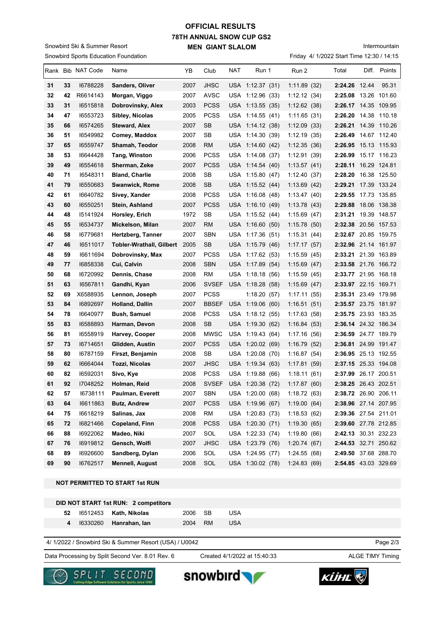## **78TH ANNUAL SNOW CUP GS2 MEN GIANT SLALOM OFFICIAL RESULTS**

Snowbird Sports Education Foundation Snowbird Ski & Summer Resort

Friday 4/ 1/2022 Start Time 12:30 / 14:15

|    |    | Rank Bib NAT Code | Name                     | YB   | Club         | NAT | Run 1            | Run 2        | Total | Diff.         | Points               |
|----|----|-------------------|--------------------------|------|--------------|-----|------------------|--------------|-------|---------------|----------------------|
| 31 | 33 | 16788228          | Sanders, Oliver          | 2007 | <b>JHSC</b>  |     | USA 1:12.37 (31) | 1:11.89(32)  |       | 2:24.26 12.44 | 95.31                |
| 32 | 42 | R6614143          | Morgan, Viggo            | 2007 | AVSC         |     | USA 1:12.96 (33) | 1:12.12(34)  |       |               | 2:25.08 13.26 101.60 |
| 33 | 31 | 16515818          | Dobrovinsky, Alex        | 2003 | <b>PCSS</b>  |     | USA 1:13.55 (35) | 1:12.62(38)  |       |               | 2:26.17 14.35 109.95 |
| 34 | 47 | 16553723          | Sibley, Nicolas          | 2005 | <b>PCSS</b>  |     | USA 1:14.55 (41) | 1:11.65(31)  |       |               | 2:26.20 14.38 110.18 |
| 35 | 66 | 16574265          | <b>Steward, Alex</b>     | 2007 | <b>SB</b>    |     | USA 1:14.12 (38) | 1:12.09(33)  |       |               | 2:26.21 14.39 110.26 |
| 36 | 51 | 16549982          | Comey, Maddox            | 2007 | SB           |     | USA 1:14.30 (39) | 1:12.19(35)  |       |               | 2:26.49 14.67 112.40 |
| 37 | 65 | 16559747          | Shamah, Teodor           | 2008 | <b>RM</b>    |     | USA 1:14.60 (42) | 1:12.35(36)  |       |               | 2:26.95 15.13 115.93 |
| 38 | 53 | 16644428          | Tang, Winston            | 2006 | <b>PCSS</b>  |     | USA 1:14.08 (37) | 1:12.91(39)  |       |               | 2:26.99 15.17 116.23 |
| 39 | 49 | 16554618          | Sherman, Zeke            | 2007 | <b>PCSS</b>  |     | USA 1:14.54 (40) | 1:13.57(41)  |       |               | 2:28.11 16.29 124.81 |
| 40 | 71 | 16548311          | <b>Bland, Charlie</b>    | 2008 | SB           |     | USA 1:15.80 (47) | 1:12.40(37)  |       |               | 2:28.20 16.38 125.50 |
| 41 | 79 | 16550683          | Swanwick, Rome           | 2008 | SB           |     | USA 1:15.52 (44) | 1:13.69(42)  |       |               | 2:29.21 17.39 133.24 |
| 42 | 61 | 16640782          | Sivey, Xander            | 2008 | <b>PCSS</b>  |     | USA 1:16.08 (48) | 1:13.47(40)  |       |               | 2:29.55 17.73 135.85 |
| 43 | 60 | 16550251          | Stein, Ashland           | 2007 | <b>PCSS</b>  |     | USA 1:16.10 (49) | 1:13.78(43)  |       |               | 2:29.88 18.06 138.38 |
| 44 | 48 | 15141924          | Horsley, Erich           | 1972 | SB           |     | USA 1:15.52 (44) | 1:15.69(47)  |       |               | 2:31.21 19.39 148.57 |
| 45 | 55 | 16534737          | Mickelson, Milan         | 2007 | <b>RM</b>    |     | USA 1:16.60 (50) | 1:15.78(50)  |       |               | 2:32.38 20.56 157.53 |
| 46 | 58 | 16779681          | Hertzberg, Tanner        | 2007 | <b>SBN</b>   |     | USA 1:17.36 (51) | 1:15.31(44)  |       |               | 2:32.67 20.85 159.75 |
| 47 | 46 | 16511017          | Tobler-Wrathall, Gilbert | 2005 | SB           |     | USA 1:15.79 (46) | 1:17.17(57)  |       |               | 2:32.96 21.14 161.97 |
| 48 | 59 | 16611694          | Dobrovinsky, Max         | 2007 | <b>PCSS</b>  |     | USA 1:17.62 (53) | 1:15.59(45)  |       |               | 2:33.21 21.39 163.89 |
| 49 | 77 | 16858338          | Cui, Calvin              | 2008 | <b>SBN</b>   |     | USA 1:17.89 (54) | 1:15.69(47)  |       |               | 2:33.58 21.76 166.72 |
| 50 | 68 | 16720992          | Dennis, Chase            | 2008 | <b>RM</b>    |     | USA 1:18.18 (56) | 1:15.59(45)  |       |               | 2:33.77 21.95 168.18 |
| 51 | 63 | 16567811          | Gandhi, Kyan             | 2006 | <b>SVSEF</b> |     | USA 1:18.28 (58) | 1:15.69(47)  |       |               | 2:33.97 22.15 169.71 |
| 52 | 69 | X6588935          | Lennon, Joseph           | 2007 | <b>PCSS</b>  |     | 1:18.20(57)      | 1:17.11(55)  |       |               | 2:35.31 23.49 179.98 |
| 53 | 84 | 16892697          | <b>Holland, Dallin</b>   | 2007 | <b>BBSEF</b> |     | USA 1:19.06 (60) | 1:16.51(51)  |       |               | 2:35.57 23.75 181.97 |
| 54 | 78 | 16640977          | <b>Bush, Samuel</b>      | 2008 | <b>PCSS</b>  |     | USA 1:18.12 (55) | 1:17.63(58)  |       |               | 2:35.75 23.93 183.35 |
| 55 | 83 | 16588893          | Harman, Devon            | 2008 | SB           |     | USA 1:19.30 (62) | 1:16.84(53)  |       |               | 2:36.14 24.32 186.34 |
| 56 | 81 | 16558919          | Harvey, Cooper           | 2008 | <b>MWSC</b>  |     | USA 1:19.43 (64) | 1:17.16(56)  |       |               | 2:36.59 24.77 189.79 |
| 57 | 73 | 16714651          | Glidden, Austin          | 2007 | <b>PCSS</b>  |     | USA 1:20.02 (69) | 1:16.79(52)  |       |               | 2:36.81 24.99 191.47 |
| 58 | 80 | 16787159          | Firszt, Benjamin         | 2008 | SB           |     | USA 1:20.08 (70) | 1:16.87(54)  |       |               | 2:36.95 25.13 192.55 |
| 59 | 62 | 16664044          | Tozzi, Nicolas           | 2007 | <b>JHSC</b>  |     | USA 1:19.34 (63) | 1:17.81(59)  |       |               | 2:37.15 25.33 194.08 |
| 60 | 82 | 16592031          | Sivo, Kye                | 2008 | <b>PCSS</b>  |     | USA 1:19.88 (66) | 1:18.11(61)  |       |               | 2:37.99 26.17 200.51 |
| 61 | 92 | 17048252          | Holman, Reid             | 2008 | <b>SVSEF</b> |     | USA 1:20.38 (72) | 1:17.87(60)  |       |               | 2:38.25 26.43 202.51 |
| 62 | 57 | 16738111          | Paulman, Everett         | 2007 | SBN          |     | USA 1:20.00 (68) | 1:18.72(63)  |       |               | 2:38.72 26.90 206.11 |
| 63 | 64 | 16611863          | <b>Butz, Andrew</b>      | 2007 | <b>PCSS</b>  |     | USA 1:19.96 (67) | 1:19.00(64)  |       |               | 2:38.96 27.14 207.95 |
| 64 | 75 | 16618219          | Salinas, Jax             | 2008 | <b>RM</b>    |     | USA 1:20.83 (73) | 1:18.53(62)  |       |               | 2:39.36 27.54 211.01 |
| 65 | 72 | 16821466          | Copeland, Finn           | 2008 | <b>PCSS</b>  |     | USA 1:20.30 (71) | 1:19.30(65)  |       |               | 2:39.60 27.78 212.85 |
| 66 | 88 | 16922062          | Madeo, Niki              | 2007 | SOL          |     | USA 1:22.33 (74) | 1:19.80(66)  |       |               | 2:42.13 30.31 232.23 |
| 67 | 76 | 16919812          | Gensch, Wolfi            | 2007 | <b>JHSC</b>  |     | USA 1:23.79 (76) | 1:20.74 (67) |       |               | 2:44.53 32.71 250.62 |
| 68 | 89 | 16926600          | Sandberg, Dylan          | 2006 | SOL          |     | USA 1:24.95 (77) | 1:24.55(68)  |       |               | 2:49.50 37.68 288.70 |
| 69 | 90 | 16762517          | <b>Mennell, August</b>   | 2008 | SOL          |     | USA 1:30.02 (78) | 1:24.83(69)  |       |               | 2:54.85 43.03 329.69 |

**NOT PERMITTED TO START 1st RUN**

|  | DID NOT START 1st RUN: 2 competitors |         |     |
|--|--------------------------------------|---------|-----|
|  | <b>52</b> 16512453 Kath, Nikolas     | 2006 SB | USA |
|  | 4 16330260 Hanrahan, lan             | 2004 RM | USA |

4/ 1/2022 / Snowbird Ski & Summer Resort (USA) / U0042

Data Processing by Split Second Ver. 8.01 Rev. 6 Created 4/1/2022 at 15:40:33 ALGE TIMY Timing

Created 4/1/2022 at 15:40:33

Page 2/3